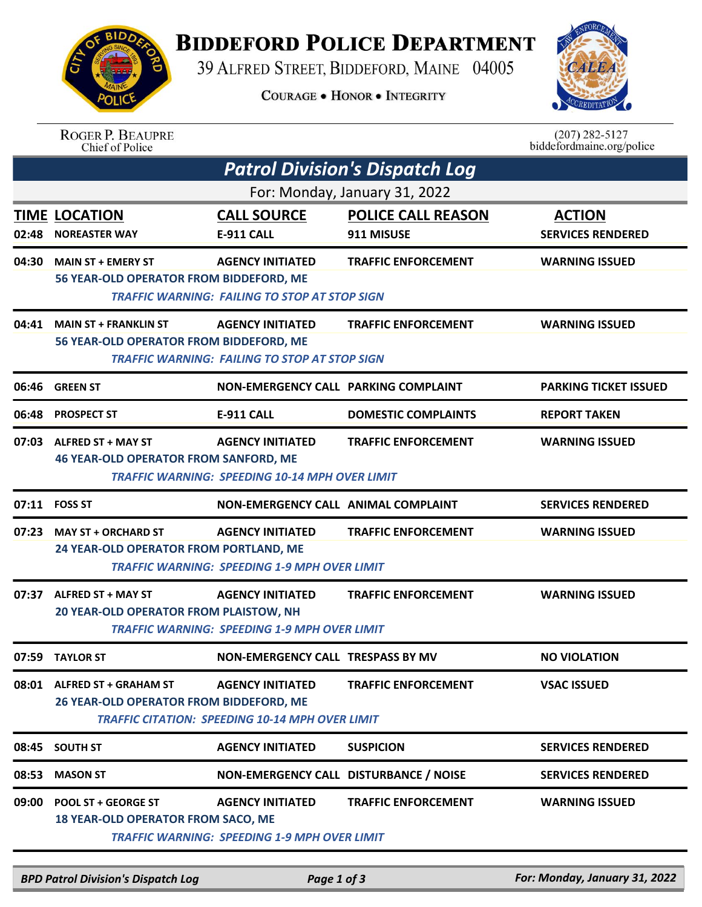## **BIDDEFORD POLICE DEPARTMENT**

39 ALFRED STREET, BIDDEFORD, MAINE 04005

**COURAGE . HONOR . INTEGRITY** 



## ROGER P. BEAUPRE<br>Chief of Police

 $(207)$  282-5127 biddefordmaine.org/police

|       | <b>Patrol Division's Dispatch Log</b>                                    |                                                                                   |                                         |                                           |  |  |  |  |  |
|-------|--------------------------------------------------------------------------|-----------------------------------------------------------------------------------|-----------------------------------------|-------------------------------------------|--|--|--|--|--|
|       | For: Monday, January 31, 2022                                            |                                                                                   |                                         |                                           |  |  |  |  |  |
| 02:48 | <b>TIME LOCATION</b><br><b>NOREASTER WAY</b>                             | <b>CALL SOURCE</b><br>E-911 CALL                                                  | <b>POLICE CALL REASON</b><br>911 MISUSE | <b>ACTION</b><br><b>SERVICES RENDERED</b> |  |  |  |  |  |
|       | 04:30 MAIN ST + EMERY ST<br>56 YEAR-OLD OPERATOR FROM BIDDEFORD, ME      | <b>AGENCY INITIATED</b><br><b>TRAFFIC WARNING: FAILING TO STOP AT STOP SIGN</b>   | <b>TRAFFIC ENFORCEMENT</b>              | <b>WARNING ISSUED</b>                     |  |  |  |  |  |
| 04:41 | <b>MAIN ST + FRANKLIN ST</b><br>56 YEAR-OLD OPERATOR FROM BIDDEFORD, ME  | <b>AGENCY INITIATED</b><br><b>TRAFFIC WARNING: FAILING TO STOP AT STOP SIGN</b>   | <b>TRAFFIC ENFORCEMENT</b>              | <b>WARNING ISSUED</b>                     |  |  |  |  |  |
| 06:46 | <b>GREEN ST</b>                                                          | NON-EMERGENCY CALL PARKING COMPLAINT                                              |                                         | <b>PARKING TICKET ISSUED</b>              |  |  |  |  |  |
| 06:48 | <b>PROSPECT ST</b>                                                       | <b>E-911 CALL</b>                                                                 | <b>DOMESTIC COMPLAINTS</b>              | <b>REPORT TAKEN</b>                       |  |  |  |  |  |
|       | 07:03 ALFRED ST + MAY ST<br><b>46 YEAR-OLD OPERATOR FROM SANFORD, ME</b> | <b>AGENCY INITIATED</b><br><b>TRAFFIC WARNING: SPEEDING 10-14 MPH OVER LIMIT</b>  | <b>TRAFFIC ENFORCEMENT</b>              | <b>WARNING ISSUED</b>                     |  |  |  |  |  |
|       | 07:11 FOSS ST                                                            | NON-EMERGENCY CALL ANIMAL COMPLAINT                                               |                                         | <b>SERVICES RENDERED</b>                  |  |  |  |  |  |
|       | 07:23 MAY ST + ORCHARD ST<br>24 YEAR-OLD OPERATOR FROM PORTLAND, ME      | <b>AGENCY INITIATED</b><br><b>TRAFFIC WARNING: SPEEDING 1-9 MPH OVER LIMIT</b>    | <b>TRAFFIC ENFORCEMENT</b>              | <b>WARNING ISSUED</b>                     |  |  |  |  |  |
| 07:37 | ALFRED ST + MAY ST<br><b>20 YEAR-OLD OPERATOR FROM PLAISTOW, NH</b>      | <b>AGENCY INITIATED</b><br><b>TRAFFIC WARNING: SPEEDING 1-9 MPH OVER LIMIT</b>    | <b>TRAFFIC ENFORCEMENT</b>              | <b>WARNING ISSUED</b>                     |  |  |  |  |  |
|       | 07:59 TAYLOR ST                                                          | <b>NON-EMERGENCY CALL TRESPASS BY MV</b>                                          |                                         | <b>NO VIOLATION</b>                       |  |  |  |  |  |
|       | 08:01 ALFRED ST + GRAHAM ST<br>26 YEAR-OLD OPERATOR FROM BIDDEFORD, ME   | <b>AGENCY INITIATED</b><br><b>TRAFFIC CITATION: SPEEDING 10-14 MPH OVER LIMIT</b> | <b>TRAFFIC ENFORCEMENT</b>              | <b>VSAC ISSUED</b>                        |  |  |  |  |  |
|       | 08:45 SOUTH ST                                                           | <b>AGENCY INITIATED</b>                                                           | <b>SUSPICION</b>                        | <b>SERVICES RENDERED</b>                  |  |  |  |  |  |
| 08:53 | <b>MASON ST</b>                                                          | NON-EMERGENCY CALL DISTURBANCE / NOISE                                            |                                         | <b>SERVICES RENDERED</b>                  |  |  |  |  |  |
| 09:00 | <b>POOL ST + GEORGE ST</b><br><b>18 YEAR-OLD OPERATOR FROM SACO, ME</b>  | <b>AGENCY INITIATED</b><br>TRAFFIC WARNING: SPEEDING 1-9 MPH OVER LIMIT           | <b>TRAFFIC ENFORCEMENT</b>              | <b>WARNING ISSUED</b>                     |  |  |  |  |  |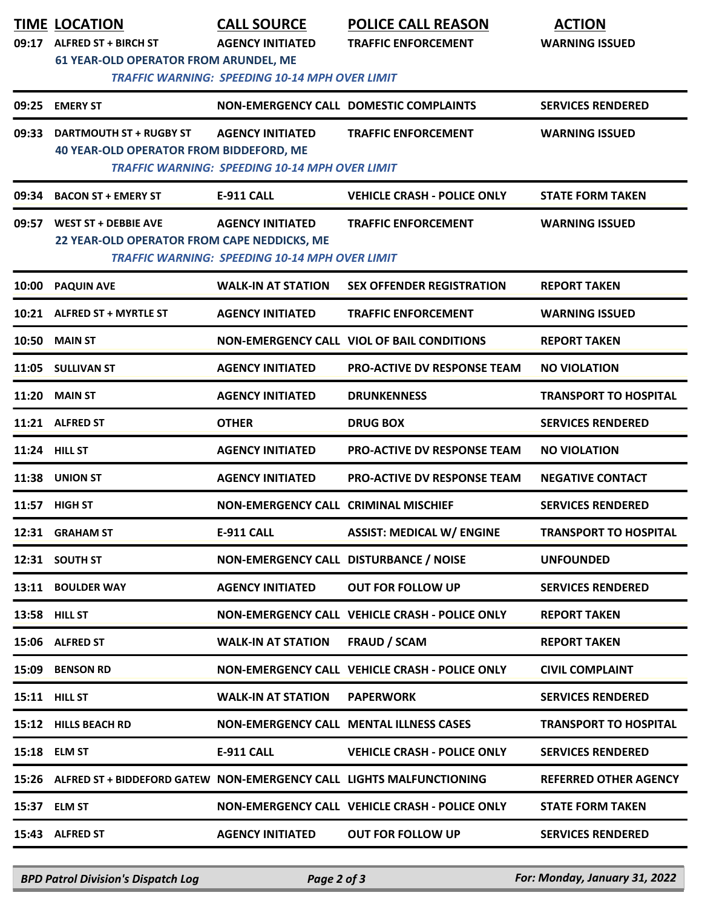| 09:17 | <b>TIME LOCATION</b><br><b>ALFRED ST + BIRCH ST</b><br><b>61 YEAR-OLD OPERATOR FROM ARUNDEL, ME</b> | <b>CALL SOURCE</b><br><b>AGENCY INITIATED</b><br><b>TRAFFIC WARNING: SPEEDING 10-14 MPH OVER LIMIT</b> | <b>POLICE CALL REASON</b><br><b>TRAFFIC ENFORCEMENT</b> | <b>ACTION</b><br><b>WARNING ISSUED</b> |
|-------|-----------------------------------------------------------------------------------------------------|--------------------------------------------------------------------------------------------------------|---------------------------------------------------------|----------------------------------------|
|       | 09:25 EMERY ST                                                                                      |                                                                                                        | NON-EMERGENCY CALL DOMESTIC COMPLAINTS                  | <b>SERVICES RENDERED</b>               |
| 09:33 | <b>DARTMOUTH ST + RUGBY ST</b><br><b>40 YEAR-OLD OPERATOR FROM BIDDEFORD, ME</b>                    | <b>AGENCY INITIATED</b><br><b>TRAFFIC WARNING: SPEEDING 10-14 MPH OVER LIMIT</b>                       | <b>TRAFFIC ENFORCEMENT</b>                              | <b>WARNING ISSUED</b>                  |
| 09:34 | <b>BACON ST + EMERY ST</b>                                                                          | <b>E-911 CALL</b>                                                                                      | <b>VEHICLE CRASH - POLICE ONLY</b>                      | <b>STATE FORM TAKEN</b>                |
| 09:57 | <b>WEST ST + DEBBIE AVE</b><br>22 YEAR-OLD OPERATOR FROM CAPE NEDDICKS, ME                          | <b>AGENCY INITIATED</b><br><b>TRAFFIC WARNING: SPEEDING 10-14 MPH OVER LIMIT</b>                       | <b>TRAFFIC ENFORCEMENT</b>                              | <b>WARNING ISSUED</b>                  |
| 10:00 | <b>PAQUIN AVE</b>                                                                                   | <b>WALK-IN AT STATION</b>                                                                              | <b>SEX OFFENDER REGISTRATION</b>                        | <b>REPORT TAKEN</b>                    |
| 10:21 | <b>ALFRED ST + MYRTLE ST</b>                                                                        | <b>AGENCY INITIATED</b>                                                                                | <b>TRAFFIC ENFORCEMENT</b>                              | <b>WARNING ISSUED</b>                  |
| 10:50 | <b>MAIN ST</b>                                                                                      |                                                                                                        | NON-EMERGENCY CALL VIOL OF BAIL CONDITIONS              | <b>REPORT TAKEN</b>                    |
| 11:05 | <b>SULLIVAN ST</b>                                                                                  | <b>AGENCY INITIATED</b>                                                                                | <b>PRO-ACTIVE DV RESPONSE TEAM</b>                      | <b>NO VIOLATION</b>                    |
| 11:20 | <b>MAIN ST</b>                                                                                      | <b>AGENCY INITIATED</b>                                                                                | <b>DRUNKENNESS</b>                                      | <b>TRANSPORT TO HOSPITAL</b>           |
|       | 11:21 ALFRED ST                                                                                     | <b>OTHER</b>                                                                                           | <b>DRUG BOX</b>                                         | <b>SERVICES RENDERED</b>               |
| 11:24 | <b>HILL ST</b>                                                                                      | <b>AGENCY INITIATED</b>                                                                                | <b>PRO-ACTIVE DV RESPONSE TEAM</b>                      | <b>NO VIOLATION</b>                    |
| 11:38 | <b>UNION ST</b>                                                                                     | <b>AGENCY INITIATED</b>                                                                                | <b>PRO-ACTIVE DV RESPONSE TEAM</b>                      | <b>NEGATIVE CONTACT</b>                |
| 11:57 | <b>HIGH ST</b>                                                                                      | NON-EMERGENCY CALL CRIMINAL MISCHIEF                                                                   |                                                         | <b>SERVICES RENDERED</b>               |
|       | 12:31 GRAHAM ST                                                                                     | <b>E-911 CALL</b>                                                                                      | <b>ASSIST: MEDICAL W/ ENGINE</b>                        | <b>TRANSPORT TO HOSPITAL</b>           |
|       | 12:31 SOUTH ST                                                                                      | NON-EMERGENCY CALL DISTURBANCE / NOISE                                                                 |                                                         | <b>UNFOUNDED</b>                       |
|       | 13:11 BOULDER WAY                                                                                   | <b>AGENCY INITIATED</b>                                                                                | <b>OUT FOR FOLLOW UP</b>                                | <b>SERVICES RENDERED</b>               |
|       | 13:58 HILL ST                                                                                       |                                                                                                        | NON-EMERGENCY CALL VEHICLE CRASH - POLICE ONLY          | <b>REPORT TAKEN</b>                    |
|       | 15:06 ALFRED ST                                                                                     | <b>WALK-IN AT STATION</b>                                                                              | <b>FRAUD / SCAM</b>                                     | <b>REPORT TAKEN</b>                    |
|       | 15:09 BENSON RD                                                                                     |                                                                                                        | NON-EMERGENCY CALL VEHICLE CRASH - POLICE ONLY          | <b>CIVIL COMPLAINT</b>                 |
|       | <b>15:11 HILL ST</b>                                                                                | <b>WALK-IN AT STATION</b>                                                                              | <b>PAPERWORK</b>                                        | <b>SERVICES RENDERED</b>               |
|       | 15:12 HILLS BEACH RD                                                                                |                                                                                                        | <b>NON-EMERGENCY CALL MENTAL ILLNESS CASES</b>          | <b>TRANSPORT TO HOSPITAL</b>           |
|       | 15:18 ELM ST                                                                                        | <b>E-911 CALL</b>                                                                                      | <b>VEHICLE CRASH - POLICE ONLY</b>                      | <b>SERVICES RENDERED</b>               |
|       | 15:26 ALFRED ST + BIDDEFORD GATEW NON-EMERGENCY CALL LIGHTS MALFUNCTIONING                          |                                                                                                        |                                                         | <b>REFERRED OTHER AGENCY</b>           |
|       | 15:37 ELM ST                                                                                        |                                                                                                        | NON-EMERGENCY CALL VEHICLE CRASH - POLICE ONLY          | <b>STATE FORM TAKEN</b>                |
|       | 15:43 ALFRED ST                                                                                     | <b>AGENCY INITIATED</b>                                                                                | <b>OUT FOR FOLLOW UP</b>                                | <b>SERVICES RENDERED</b>               |